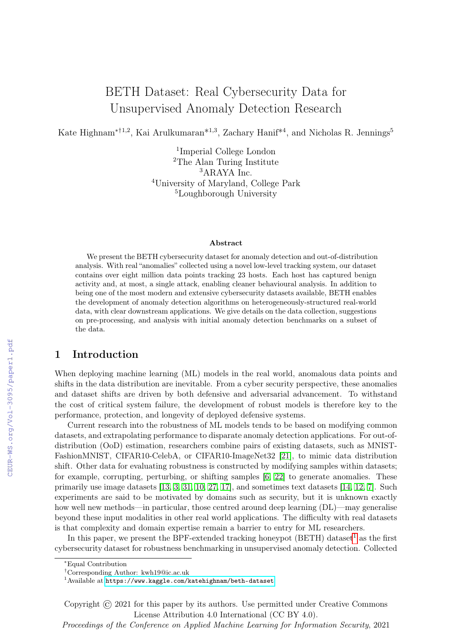# BETH Dataset: Real Cybersecurity Data for Unsupervised Anomaly Detection Research

Kate Highnam<sup>\*†1,2</sup>, Kai Arulkumaran<sup>\*1,3</sup>, Zachary Hanif<sup>\*4</sup>, and Nicholas R. Jennings<sup>5</sup>

 Imperial College London The Alan Turing Institute ARAYA Inc. University of Maryland, College Park Loughborough University

#### Abstract

We present the BETH cybersecurity dataset for anomaly detection and out-of-distribution analysis. With real "anomalies" collected using a novel low-level tracking system, our dataset contains over eight million data points tracking 23 hosts. Each host has captured benign activity and, at most, a single attack, enabling cleaner behavioural analysis. In addition to being one of the most modern and extensive cybersecurity datasets available, BETH enables the development of anomaly detection algorithms on heterogeneously-structured real-world data, with clear downstream applications. We give details on the data collection, suggestions on pre-processing, and analysis with initial anomaly detection benchmarks on a subset of the data.

# 1 Introduction

When deploying machine learning (ML) models in the real world, anomalous data points and shifts in the data distribution are inevitable. From a cyber security perspective, these anomalies and dataset shifts are driven by both defensive and adversarial advancement. To withstand the cost of critical system failure, the development of robust models is therefore key to the performance, protection, and longevity of deployed defensive systems.

Current research into the robustness of ML models tends to be based on modifying common datasets, and extrapolating performance to disparate anomaly detection applications. For out-ofdistribution (OoD) estimation, researchers combine pairs of existing datasets, such as MNIST-FashionMNIST, CIFAR10-CelebA, or CIFAR10-ImageNet32 [\[21\]](#page--1-0), to mimic data distribution shift. Other data for evaluating robustness is constructed by modifying samples within datasets; for example, corrupting, perturbing, or shifting samples [\[6,](#page--1-1) [22\]](#page--1-2) to generate anomalies. These primarily use image datasets [\[13,](#page--1-3) [3,](#page--1-4) [31,](#page--1-5) [10,](#page--1-6) [27,](#page--1-7) [17\]](#page--1-8), and sometimes text datasets [\[14,](#page--1-9) [12,](#page--1-10) [7\]](#page--1-11). Such experiments are said to be motivated by domains such as security, but it is unknown exactly how well new methods—in particular, those centred around deep learning (DL)—may generalise beyond these input modalities in other real world applications. The difficulty with real datasets is that complexity and domain expertise remain a barrier to entry for ML researchers.

In this paper, we present the BPF-extended tracking honeypot (BETH) dataset<sup>[1](#page-0-0)</sup> as the first cybersecurity dataset for robustness benchmarking in unsupervised anomaly detection. Collected

Copyright © 2021 for this paper by its authors. Use permitted under Creative Commons License Attribution 4.0 International (CC BY 4.0).

Proceedings of the Conference on Applied Machine Learning for Information Security, 2021

<sup>∗</sup>Equal Contribution

<sup>†</sup>Corresponding Author: kwh19@ic.ac.uk

<span id="page-0-0"></span><sup>&</sup>lt;sup>1</sup>Available at <https://www.kaggle.com/katehighnam/beth-dataset>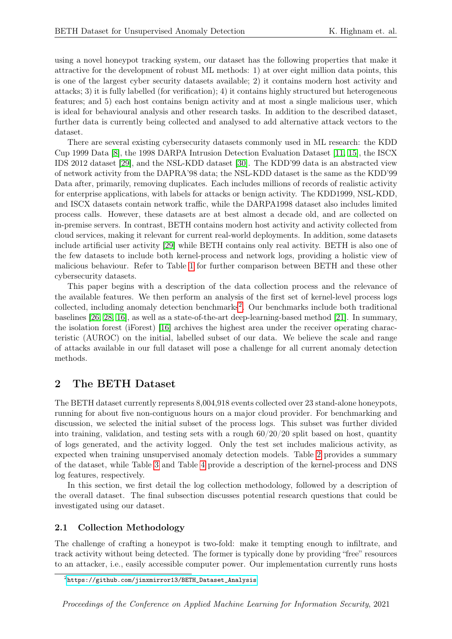using a novel honeypot tracking system, our dataset has the following properties that make it attractive for the development of robust ML methods: 1) at over eight million data points, this is one of the largest cyber security datasets available; 2) it contains modern host activity and attacks; 3) it is fully labelled (for verification); 4) it contains highly structured but heterogeneous features; and 5) each host contains benign activity and at most a single malicious user, which is ideal for behavioural analysis and other research tasks. In addition to the described dataset, further data is currently being collected and analysed to add alternative attack vectors to the dataset.

There are several existing cybersecurity datasets commonly used in ML research: the KDD Cup 1999 Data [\[8\]](#page-7-0), the 1998 DARPA Intrusion Detection Evaluation Dataset [\[11,](#page-8-0) [15\]](#page-8-1), the ISCX IDS 2012 dataset [\[29\]](#page-9-0), and the NSL-KDD dataset [\[30\]](#page-9-1). The KDD'99 data is an abstracted view of network activity from the DAPRA'98 data; the NSL-KDD dataset is the same as the KDD'99 Data after, primarily, removing duplicates. Each includes millions of records of realistic activity for enterprise applications, with labels for attacks or benign activity. The KDD1999, NSL-KDD, and ISCX datasets contain network traffic, while the DARPA1998 dataset also includes limited process calls. However, these datasets are at best almost a decade old, and are collected on in-premise servers. In contrast, BETH contains modern host activity and activity collected from cloud services, making it relevant for current real-world deployments. In addition, some datasets include artificial user activity [\[29\]](#page-9-0) while BETH contains only real activity. BETH is also one of the few datasets to include both kernel-process and network logs, providing a holistic view of malicious behaviour. Refer to Table [1](#page-2-0) for further comparison between BETH and these other cybersecurity datasets.

This paper begins with a description of the data collection process and the relevance of the available features. We then perform an analysis of the first set of kernel-level process logs collected, including anomaly detection benchmarks<sup>[2](#page-1-0)</sup>. Our benchmarks include both traditional baselines [\[26,](#page-8-2) [28,](#page-9-2) [16\]](#page-8-3), as well as a state-of-the-art deep-learning-based method [\[21\]](#page-8-4). In summary, the isolation forest (iForest) [\[16\]](#page-8-3) archives the highest area under the receiver operating characteristic (AUROC) on the initial, labelled subset of our data. We believe the scale and range of attacks available in our full dataset will pose a challenge for all current anomaly detection methods.

# 2 The BETH Dataset

The BETH dataset currently represents 8,004,918 events collected over 23 stand-alone honeypots, running for about five non-contiguous hours on a major cloud provider. For benchmarking and discussion, we selected the initial subset of the process logs. This subset was further divided into training, validation, and testing sets with a rough  $60/20/20$  split based on host, quantity of logs generated, and the activity logged. Only the test set includes malicious activity, as expected when training unsupervised anomaly detection models. Table [2](#page-2-1) provides a summary of the dataset, while Table [3](#page-3-0) and Table [4](#page-4-0) provide a description of the kernel-process and DNS log features, respectively.

In this section, we first detail the log collection methodology, followed by a description of the overall dataset. The final subsection discusses potential research questions that could be investigated using our dataset.

#### 2.1 Collection Methodology

The challenge of crafting a honeypot is two-fold: make it tempting enough to infiltrate, and track activity without being detected. The former is typically done by providing "free" resources to an attacker, i.e., easily accessible computer power. Our implementation currently runs hosts

<span id="page-1-0"></span> $^{2}$ [https://github.com/jinxmirror13/BETH\\_Dataset\\_Analysis](https://github.com/jinxmirror13/BETH_Dataset_Analysis)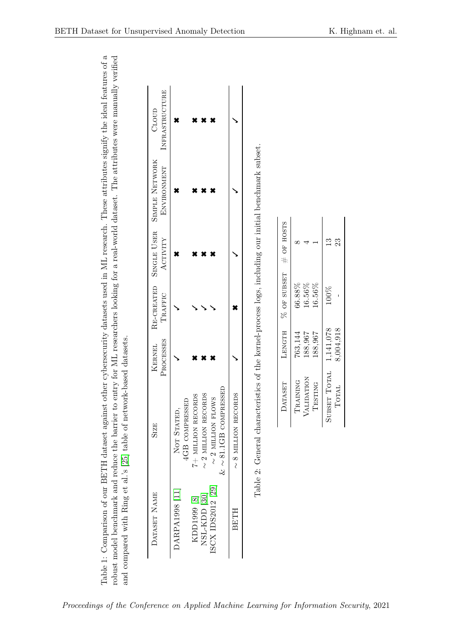<span id="page-2-1"></span><span id="page-2-0"></span>

| 3501a                                                              |                                                                                                                                                   |                                                       |
|--------------------------------------------------------------------|---------------------------------------------------------------------------------------------------------------------------------------------------|-------------------------------------------------------|
|                                                                    |                                                                                                                                                   |                                                       |
|                                                                    |                                                                                                                                                   |                                                       |
|                                                                    |                                                                                                                                                   |                                                       |
|                                                                    |                                                                                                                                                   |                                                       |
|                                                                    |                                                                                                                                                   |                                                       |
|                                                                    |                                                                                                                                                   |                                                       |
|                                                                    |                                                                                                                                                   |                                                       |
| ts used in ML research. These attributes signify the ideal feature |                                                                                                                                                   |                                                       |
|                                                                    |                                                                                                                                                   |                                                       |
| ther cybersecurity dataset:                                        |                                                                                                                                                   |                                                       |
|                                                                    |                                                                                                                                                   | $\sim$ to Dow                                         |
|                                                                    |                                                                                                                                                   | 59380                                                 |
|                                                                    |                                                                                                                                                   |                                                       |
|                                                                    |                                                                                                                                                   |                                                       |
|                                                                    |                                                                                                                                                   |                                                       |
|                                                                    |                                                                                                                                                   |                                                       |
|                                                                    |                                                                                                                                                   |                                                       |
| Pable 1: Comparison of our BETH dataset against ot.                | robust model benchmark and reduce the barrier to entry for ML researchers looking for a real-world dataset. The attributes were manually verified | and compared with Ring et al.'s [25] table of networl |
|                                                                    |                                                                                                                                                   |                                                       |

|                |                                       |                 |         |           | $\& \sim 81.1\text{GB}$ COMPRESSED |                   |
|----------------|---------------------------------------|-----------------|---------|-----------|------------------------------------|-------------------|
|                |                                       |                 |         |           | $\sim$ 2 million flows             | ISCX IDS2012 [29] |
|                |                                       |                 |         |           | $\sim$ 2 million records           | NSL-KDD [30]      |
|                |                                       |                 |         |           | 7+ MILLION RECORDS                 | KDD1999 [8]       |
|                |                                       |                 |         |           | 4GB COMPRESSED                     |                   |
|                |                                       |                 |         |           | NOT STATED,                        | DARPA1998 [11]    |
| INFRASTRUCTURE | <b>ENVIRONMENT</b>                    | <b>ACTIVITY</b> | TRAFFIC | PROCESSES |                                    |                   |
| CLOUD          | RE-CREATED SINGLE USER SIMPLE NETWORK |                 |         | KERNEL    | <b>SIZE</b>                        | DATASET NAME      |

| j                                        |
|------------------------------------------|
| ۱<br>$\overline{a}$                      |
|                                          |
| $\frac{1}{2}$<br>)<br> -<br> -<br> -     |
|                                          |
| ١<br>ĺ                                   |
| $\frac{1}{2}$<br>֚֚֬                     |
| j<br>במת תואר ותי<br>ł                   |
| $\frac{1}{2}$<br>l                       |
| $\mathbf{I}$                             |
|                                          |
|                                          |
|                                          |
| ֖֖֖֚֚֚֚֚֚֡֕                              |
| )<br>)<br>)<br>i<br>!<br>Ç               |
| .<br>1                                   |
| $\ddot{\phantom{0}}$<br>r<br>F<br>Š<br>ł |

| # OF HOSTS         |          |            |         | $^{23}$                |
|--------------------|----------|------------|---------|------------------------|
| <b>% OF SUBSET</b> | 56.88%   | 16.56%     | 16.56%  | 100%                   |
| LENGTH             | 763,144  | 188.967    | 188.967 | 1,141,078<br>8,004,918 |
| DATASET            | TRAINING | VALIDATION | TESTING | SUBSET TOTAL<br>TOTAL  |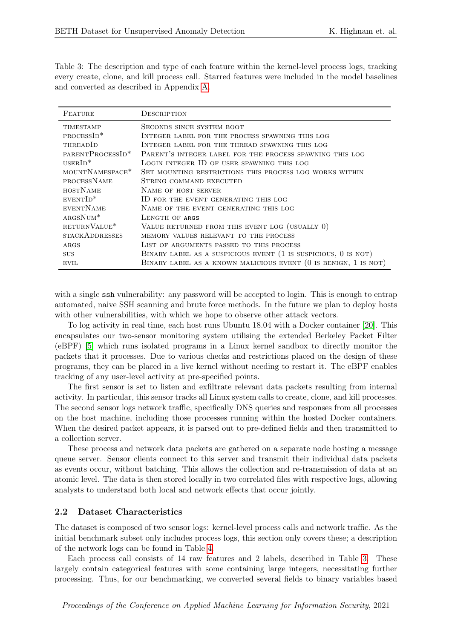<span id="page-3-0"></span>Table 3: The description and type of each feature within the kernel-level process logs, tracking every create, clone, and kill process call. Starred features were included in the model baselines and converted as described in Appendix [A.](#page-9-3)

| FEATURE                      | DESCRIPTION                                                       |
|------------------------------|-------------------------------------------------------------------|
| <b>TIMESTAMP</b>             | SECONDS SINCE SYSTEM BOOT                                         |
| $PROCESSID^*$                | INTEGER LABEL FOR THE PROCESS SPAWNING THIS LOG                   |
| THREADID                     | INTEGER LABEL FOR THE THREAD SPAWNING THIS LOG                    |
| PARENTPROCESSID <sup>*</sup> | PARENT'S INTEGER LABEL FOR THE PROCESS SPAWNING THIS LOG          |
| $USERID*$                    | LOGIN INTEGER ID OF USER SPAWNING THIS LOG                        |
| MOUNTNAMESPACE <sup>*</sup>  | SET MOUNTING RESTRICTIONS THIS PROCESS LOG WORKS WITHIN           |
| PROCESSNAME                  | STRING COMMAND EXECUTED                                           |
| <b>HOSTNAME</b>              | NAME OF HOST SERVER                                               |
| $EVENTID*$                   | ID FOR THE EVENT GENERATING THIS LOG                              |
| EVENTNAME                    | NAME OF THE EVENT GENERATING THIS LOG                             |
| $ARGSNUM*$                   | LENGTH OF ARGS                                                    |
| RETURNVALUE*                 | VALUE RETURNED FROM THIS EVENT LOG (USUALLY 0)                    |
| <b>STACKADDRESSES</b>        | MEMORY VALUES RELEVANT TO THE PROCESS                             |
| ARGS                         | LIST OF ARGUMENTS PASSED TO THIS PROCESS                          |
| <b>SUS</b>                   | BINARY LABEL AS A SUSPICIOUS EVENT (1 IS SUSPICIOUS, 0 IS NOT)    |
| <b>EVIL</b>                  | BINARY LABEL AS A KNOWN MALICIOUS EVENT $(0$ IS BENIGN, 1 IS NOT) |

with a single ssh vulnerability: any password will be accepted to login. This is enough to entrap automated, naive SSH scanning and brute force methods. In the future we plan to deploy hosts with other vulnerabilities, with which we hope to observe other attack vectors.

To log activity in real time, each host runs Ubuntu 18.04 with a Docker container [\[20\]](#page-8-6). This encapsulates our two-sensor monitoring system utilising the extended Berkeley Packet Filter (eBPF) [\[5\]](#page-7-1) which runs isolated programs in a Linux kernel sandbox to directly monitor the packets that it processes. Due to various checks and restrictions placed on the design of these programs, they can be placed in a live kernel without needing to restart it. The eBPF enables tracking of any user-level activity at pre-specified points.

The first sensor is set to listen and exfiltrate relevant data packets resulting from internal activity. In particular, this sensor tracks all Linux system calls to create, clone, and kill processes. The second sensor logs network traffic, specifically DNS queries and responses from all processes on the host machine, including those processes running within the hosted Docker containers. When the desired packet appears, it is parsed out to pre-defined fields and then transmitted to a collection server.

These process and network data packets are gathered on a separate node hosting a message queue server. Sensor clients connect to this server and transmit their individual data packets as events occur, without batching. This allows the collection and re-transmission of data at an atomic level. The data is then stored locally in two correlated files with respective logs, allowing analysts to understand both local and network effects that occur jointly.

#### <span id="page-3-1"></span>2.2 Dataset Characteristics

The dataset is composed of two sensor logs: kernel-level process calls and network traffic. As the initial benchmark subset only includes process logs, this section only covers these; a description of the network logs can be found in Table [4.](#page-4-0)

Each process call consists of 14 raw features and 2 labels, described in Table [3.](#page-3-0) These largely contain categorical features with some containing large integers, necessitating further processing. Thus, for our benchmarking, we converted several fields to binary variables based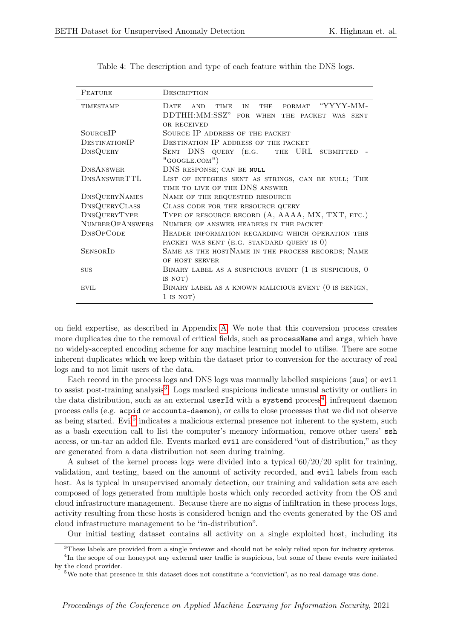| FEATURE                | DESCRIPTION                                                                      |
|------------------------|----------------------------------------------------------------------------------|
| <b>TIMESTAMP</b>       | FORMAT "YYYY-MM-<br><b>DATE</b><br><b>AND</b><br><b>TIME</b><br>IN<br><b>THE</b> |
|                        | DDTHH: MM: SSZ" FOR WHEN THE PACKET WAS SENT                                     |
|                        | <b>OR RECEIVED</b>                                                               |
| SOURCEIP               | SOURCE IP ADDRESS OF THE PACKET                                                  |
| DESTINATIONIP          | DESTINATION IP ADDRESS OF THE PACKET                                             |
| DNSQUERY               | SENT DNS QUERY (E.G. THE URL SUBMITTED                                           |
|                        | $"$ GOOGLE.COM $")$                                                              |
| <b>DNSANSWER</b>       | DNS RESPONSE; CAN BE NULL                                                        |
| DNSANSWERTTL           | LIST OF INTEGERS SENT AS STRINGS, CAN BE NULL; THE                               |
|                        | TIME TO LIVE OF THE DNS ANSWER                                                   |
| <b>DNSQUERYNAMES</b>   | NAME OF THE REQUESTED RESOURCE                                                   |
| <b>DNSQUERYCLASS</b>   | CLASS CODE FOR THE RESOURCE QUERY                                                |
| DNSQUERYTYPE           | TYPE OF RESOURCE RECORD (A, AAAA, MX, TXT, ETC.)                                 |
| <b>NUMBEROFANSWERS</b> | NUMBER OF ANSWER HEADERS IN THE PACKET                                           |
| <b>DNSOPCODE</b>       | HEADER INFORMATION REGARDING WHICH OPERATION THIS                                |
|                        | PACKET WAS SENT (E.G. STANDARD QUERY IS 0)                                       |
| <b>SENSORID</b>        | SAME AS THE HOSTNAME IN THE PROCESS RECORDS; NAME                                |
|                        | OF HOST SERVER                                                                   |
| SUS                    | BINARY LABEL AS A SUSPICIOUS EVENT (1 IS SUSPICIOUS, 0                           |
|                        | IS NOT)                                                                          |
| <b>EVIL</b>            | BINARY LABEL AS A KNOWN MALICIOUS EVENT (0 IS BENIGN,                            |
|                        | $1$ IS NOT)                                                                      |
|                        |                                                                                  |

<span id="page-4-0"></span>Table 4: The description and type of each feature within the DNS logs.

on field expertise, as described in Appendix [A.](#page-9-3) We note that this conversion process creates more duplicates due to the removal of critical fields, such as processName and args, which have no widely-accepted encoding scheme for any machine learning model to utilise. There are some inherent duplicates which we keep within the dataset prior to conversion for the accuracy of real logs and to not limit users of the data.

Each record in the process logs and DNS logs was manually labelled suspicious (sus) or evil to assist post-training analysis<sup>[3](#page-4-1)</sup>. Logs marked suspicious indicate unusual activity or outliers in the data distribution, such as an external userId with a systemd process<sup>[4](#page-4-2)</sup>, infrequent daemon process calls (e.g. acpid or accounts-daemon), or calls to close processes that we did not observe as being started. Evil<sup>[5](#page-4-3)</sup> indicates a malicious external presence not inherent to the system, such as a bash execution call to list the computer's memory information, remove other users' ssh access, or un-tar an added file. Events marked evil are considered "out of distribution," as they are generated from a data distribution not seen during training.

A subset of the kernel process logs were divided into a typical  $60/20/20$  split for training, validation, and testing, based on the amount of activity recorded, and evil labels from each host. As is typical in unsupervised anomaly detection, our training and validation sets are each composed of logs generated from multiple hosts which only recorded activity from the OS and cloud infrastructure management. Because there are no signs of infiltration in these process logs, activity resulting from these hosts is considered benign and the events generated by the OS and cloud infrastructure management to be "in-distribution".

<span id="page-4-1"></span>Our initial testing dataset contains all activity on a single exploited host, including its

<span id="page-4-2"></span><sup>3</sup>These labels are provided from a single reviewer and should not be solely relied upon for industry systems. <sup>4</sup>In the scope of our honeypot any external user traffic is suspicious, but some of these events were initiated by the cloud provider.

<span id="page-4-3"></span><sup>&</sup>lt;sup>5</sup>We note that presence in this dataset does not constitute a "conviction", as no real damage was done.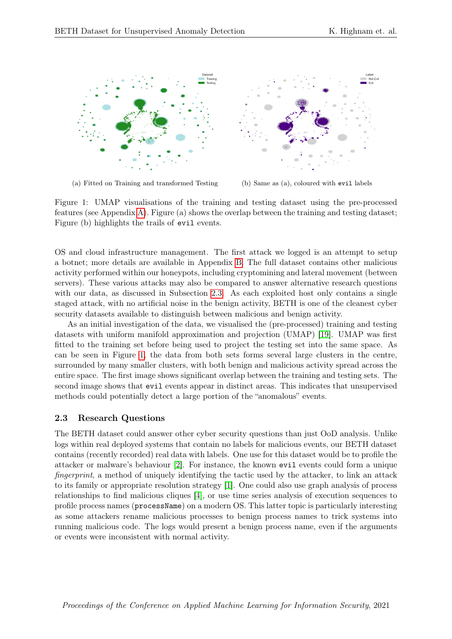

<span id="page-5-1"></span>(a) Fitted on Training and transformed Testing (b) Same as (a), coloured with evil labels

Figure 1: UMAP visualisations of the training and testing dataset using the pre-processed features (see Appendix [A\)](#page-9-3). Figure (a) shows the overlap between the training and testing dataset; Figure (b) highlights the trails of evil events.

OS and cloud infrastructure management. The first attack we logged is an attempt to setup a botnet; more details are available in Appendix [B.](#page-10-0) The full dataset contains other malicious activity performed within our honeypots, including cryptomining and lateral movement (between servers). These various attacks may also be compared to answer alternative research questions with our data, as discussed in Subsection [2.3.](#page-5-0) As each exploited host only contains a single staged attack, with no artificial noise in the benign activity, BETH is one of the cleanest cyber security datasets available to distinguish between malicious and benign activity.

As an initial investigation of the data, we visualised the (pre-processed) training and testing datasets with uniform manifold approximation and projection (UMAP) [\[19\]](#page-8-7). UMAP was first fitted to the training set before being used to project the testing set into the same space. As can be seen in Figure [1,](#page-5-1) the data from both sets forms several large clusters in the centre, surrounded by many smaller clusters, with both benign and malicious activity spread across the entire space. The first image shows significant overlap between the training and testing sets. The second image shows that evil events appear in distinct areas. This indicates that unsupervised methods could potentially detect a large portion of the "anomalous" events.

#### <span id="page-5-0"></span>2.3 Research Questions

The BETH dataset could answer other cyber security questions than just OoD analysis. Unlike logs within real deployed systems that contain no labels for malicious events, our BETH dataset contains (recently recorded) real data with labels. One use for this dataset would be to profile the attacker or malware's behaviour [\[2\]](#page-7-2). For instance, the known evil events could form a unique fingerprint, a method of uniquely identifying the tactic used by the attacker, to link an attack to its family or appropriate resolution strategy [\[1\]](#page-7-3). One could also use graph analysis of process relationships to find malicious cliques [\[4\]](#page-7-4), or use time series analysis of execution sequences to profile process names (processName) on a modern OS. This latter topic is particularly interesting as some attackers rename malicious processes to benign process names to trick systems into running malicious code. The logs would present a benign process name, even if the arguments or events were inconsistent with normal activity.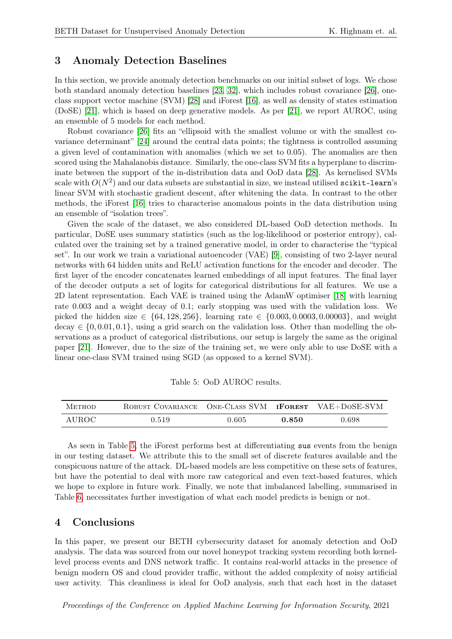### 3 Anomaly Detection Baselines

In this section, we provide anomaly detection benchmarks on our initial subset of logs. We chose both standard anomaly detection baselines [\[23,](#page-8-8) [32\]](#page-9-4), which includes robust covariance [\[26\]](#page-8-2), oneclass support vector machine (SVM) [\[28\]](#page-9-2) and iForest [\[16\]](#page-8-3), as well as density of states estimation (DoSE) [\[21\]](#page-8-4), which is based on deep generative models. As per [\[21\]](#page-8-4), we report AUROC, using an ensemble of 5 models for each method.

Robust covariance [\[26\]](#page-8-2) fits an "ellipsoid with the smallest volume or with the smallest covariance determinant" [\[24\]](#page-8-9) around the central data points; the tightness is controlled assuming a given level of contamination with anomalies (which we set to 0.05). The anomalies are then scored using the Mahalanobis distance. Similarly, the one-class SVM fits a hyperplane to discriminate between the support of the in-distribution data and OoD data [\[28\]](#page-9-2). As kernelised SVMs scale with  $O(N^2)$  and our data subsets are substantial in size, we instead utilised <code>scikit-learn's</code> linear SVM with stochastic gradient descent, after whitening the data. In contrast to the other methods, the iForest [\[16\]](#page-8-3) tries to characterise anomalous points in the data distribution using an ensemble of "isolation trees".

Given the scale of the dataset, we also considered DL-based OoD detection methods. In particular, DoSE uses summary statistics (such as the log-likelihood or posterior entropy), calculated over the training set by a trained generative model, in order to characterise the "typical set". In our work we train a variational autoencoder (VAE) [\[9\]](#page-7-5), consisting of two 2-layer neural networks with 64 hidden units and ReLU activation functions for the encoder and decoder. The first layer of the encoder concatenates learned embeddings of all input features. The final layer of the decoder outputs a set of logits for categorical distributions for all features. We use a 2D latent representation. Each VAE is trained using the AdamW optimiser [\[18\]](#page-8-10) with learning rate 0.003 and a weight decay of 0.1; early stopping was used with the validation loss. We picked the hidden size  $\in \{64, 128, 256\}$ , learning rate  $\in \{0.003, 0.0003, 0.00003\}$ , and weight  $\text{decay} \in \{0, 0.01, 0.1\},$  using a grid search on the validation loss. Other than modelling the observations as a product of categorical distributions, our setup is largely the same as the original paper [\[21\]](#page-8-4). However, due to the size of the training set, we were only able to use DoSE with a linear one-class SVM trained using SGD (as opposed to a kernel SVM).

<span id="page-6-0"></span>

| Table 5: OoD AUROC results. |  |
|-----------------------------|--|
|-----------------------------|--|

| <b>METHOD</b> | ROBUST COVARIANCE ONE-CLASS SVM <b>IFOREST</b> VAE+DOSE-SVM |       |       |       |
|---------------|-------------------------------------------------------------|-------|-------|-------|
| AUROC         | 0.519                                                       | 0.605 | 0.850 | 0.698 |

As seen in Table [5,](#page-6-0) the iForest performs best at differentiating sus events from the benign in our testing dataset. We attribute this to the small set of discrete features available and the conspicuous nature of the attack. DL-based models are less competitive on these sets of features, but have the potential to deal with more raw categorical and even text-based features, which we hope to explore in future work. Finally, we note that imbalanced labelling, summarised in Table [6,](#page-10-1) necessitates further investigation of what each model predicts is benign or not.

#### 4 Conclusions

In this paper, we present our BETH cybersecurity dataset for anomaly detection and OoD analysis. The data was sourced from our novel honeypot tracking system recording both kernellevel process events and DNS network traffic. It contains real-world attacks in the presence of benign modern OS and cloud provider traffic, without the added complexity of noisy artificial user activity. This cleanliness is ideal for OoD analysis, such that each host in the dataset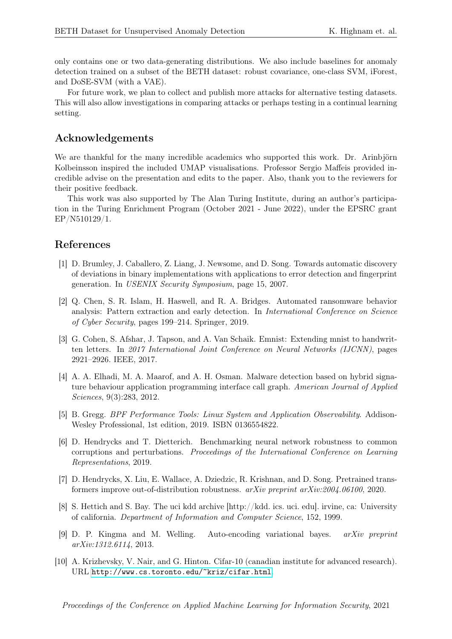only contains one or two data-generating distributions. We also include baselines for anomaly detection trained on a subset of the BETH dataset: robust covariance, one-class SVM, iForest, and DoSE-SVM (with a VAE).

For future work, we plan to collect and publish more attacks for alternative testing datasets. This will also allow investigations in comparing attacks or perhaps testing in a continual learning setting.

# Acknowledgements

We are thankful for the many incredible academics who supported this work. Dr. Arinbjörn Kolbeinsson inspired the included UMAP visualisations. Professor Sergio Maffeis provided incredible advise on the presentation and edits to the paper. Also, thank you to the reviewers for their positive feedback.

This work was also supported by The Alan Turing Institute, during an author's participation in the Turing Enrichment Program (October 2021 - June 2022), under the EPSRC grant EP/N510129/1.

### References

- <span id="page-7-3"></span>[1] D. Brumley, J. Caballero, Z. Liang, J. Newsome, and D. Song. Towards automatic discovery of deviations in binary implementations with applications to error detection and fingerprint generation. In USENIX Security Symposium, page 15, 2007.
- <span id="page-7-2"></span>[2] Q. Chen, S. R. Islam, H. Haswell, and R. A. Bridges. Automated ransomware behavior analysis: Pattern extraction and early detection. In International Conference on Science of Cyber Security, pages 199–214. Springer, 2019.
- [3] G. Cohen, S. Afshar, J. Tapson, and A. Van Schaik. Emnist: Extending mnist to handwritten letters. In 2017 International Joint Conference on Neural Networks (IJCNN), pages 2921–2926. IEEE, 2017.
- <span id="page-7-4"></span>[4] A. A. Elhadi, M. A. Maarof, and A. H. Osman. Malware detection based on hybrid signature behaviour application programming interface call graph. American Journal of Applied Sciences, 9(3):283, 2012.
- <span id="page-7-1"></span>[5] B. Gregg. BPF Performance Tools: Linux System and Application Observability. Addison-Wesley Professional, 1st edition, 2019. ISBN 0136554822.
- [6] D. Hendrycks and T. Dietterich. Benchmarking neural network robustness to common corruptions and perturbations. Proceedings of the International Conference on Learning Representations, 2019.
- [7] D. Hendrycks, X. Liu, E. Wallace, A. Dziedzic, R. Krishnan, and D. Song. Pretrained transformers improve out-of-distribution robustness. arXiv preprint arXiv:2004.06100, 2020.
- <span id="page-7-0"></span>[8] S. Hettich and S. Bay. The uci kdd archive [http://kdd. ics. uci. edu]. irvine, ca: University of california. Department of Information and Computer Science, 152, 1999.
- <span id="page-7-5"></span>[9] D. P. Kingma and M. Welling. Auto-encoding variational bayes. arXiv preprint arXiv:1312.6114, 2013.
- [10] A. Krizhevsky, V. Nair, and G. Hinton. Cifar-10 (canadian institute for advanced research). URL <http://www.cs.toronto.edu/~kriz/cifar.html>.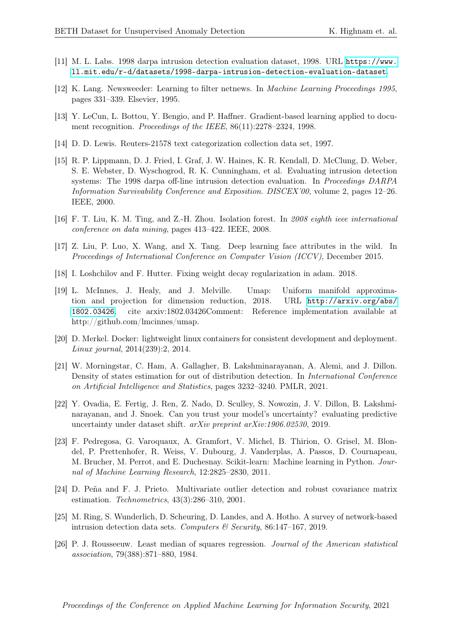- <span id="page-8-0"></span>[11] M. L. Labs. 1998 darpa intrusion detection evaluation dataset, 1998. URL [https://www.](https://www.ll.mit.edu/r-d/datasets/1998-darpa-intrusion-detection-evaluation-dataset) [ll.mit.edu/r-d/datasets/1998-darpa-intrusion-detection-evaluation-dataset](https://www.ll.mit.edu/r-d/datasets/1998-darpa-intrusion-detection-evaluation-dataset).
- [12] K. Lang. Newsweeder: Learning to filter netnews. In Machine Learning Proceedings 1995, pages 331–339. Elsevier, 1995.
- [13] Y. LeCun, L. Bottou, Y. Bengio, and P. Haffner. Gradient-based learning applied to document recognition. Proceedings of the IEEE, 86(11):2278-2324, 1998.
- [14] D. D. Lewis. Reuters-21578 text categorization collection data set, 1997.
- <span id="page-8-1"></span>[15] R. P. Lippmann, D. J. Fried, I. Graf, J. W. Haines, K. R. Kendall, D. McClung, D. Weber, S. E. Webster, D. Wyschogrod, R. K. Cunningham, et al. Evaluating intrusion detection systems: The 1998 darpa off-line intrusion detection evaluation. In Proceedings DARPA Information Survivability Conference and Exposition. DISCEX'00, volume 2, pages 12–26. IEEE, 2000.
- <span id="page-8-3"></span>[16] F. T. Liu, K. M. Ting, and Z.-H. Zhou. Isolation forest. In 2008 eighth ieee international conference on data mining, pages 413–422. IEEE, 2008.
- [17] Z. Liu, P. Luo, X. Wang, and X. Tang. Deep learning face attributes in the wild. In Proceedings of International Conference on Computer Vision (ICCV), December 2015.
- <span id="page-8-10"></span>[18] I. Loshchilov and F. Hutter. Fixing weight decay regularization in adam. 2018.
- <span id="page-8-7"></span>[19] L. McInnes, J. Healy, and J. Melville. Umap: Uniform manifold approximation and projection for dimension reduction, 2018. URL [http://arxiv.org/abs/](http://arxiv.org/abs/1802.03426) [1802.03426](http://arxiv.org/abs/1802.03426). cite arxiv:1802.03426Comment: Reference implementation available at http://github.com/lmcinnes/umap.
- <span id="page-8-6"></span>[20] D. Merkel. Docker: lightweight linux containers for consistent development and deployment. Linux journal, 2014(239):2, 2014.
- <span id="page-8-4"></span>[21] W. Morningstar, C. Ham, A. Gallagher, B. Lakshminarayanan, A. Alemi, and J. Dillon. Density of states estimation for out of distribution detection. In International Conference on Artificial Intelligence and Statistics, pages 3232–3240. PMLR, 2021.
- [22] Y. Ovadia, E. Fertig, J. Ren, Z. Nado, D. Sculley, S. Nowozin, J. V. Dillon, B. Lakshminarayanan, and J. Snoek. Can you trust your model's uncertainty? evaluating predictive uncertainty under dataset shift. arXiv preprint arXiv:1906.02530, 2019.
- <span id="page-8-8"></span>[23] F. Pedregosa, G. Varoquaux, A. Gramfort, V. Michel, B. Thirion, O. Grisel, M. Blondel, P. Prettenhofer, R. Weiss, V. Dubourg, J. Vanderplas, A. Passos, D. Cournapeau, M. Brucher, M. Perrot, and E. Duchesnay. Scikit-learn: Machine learning in Python. Journal of Machine Learning Research, 12:2825–2830, 2011.
- <span id="page-8-9"></span>[24] D. Peña and F. J. Prieto. Multivariate outlier detection and robust covariance matrix estimation. Technometrics, 43(3):286–310, 2001.
- <span id="page-8-5"></span>[25] M. Ring, S. Wunderlich, D. Scheuring, D. Landes, and A. Hotho. A survey of network-based intrusion detection data sets. Computers  $\mathcal C$  Security, 86:147-167, 2019.
- <span id="page-8-2"></span>[26] P. J. Rousseeuw. Least median of squares regression. Journal of the American statistical association, 79(388):871–880, 1984.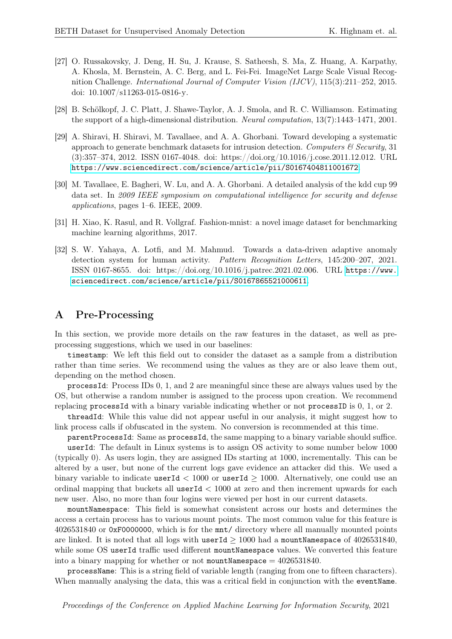- [27] O. Russakovsky, J. Deng, H. Su, J. Krause, S. Satheesh, S. Ma, Z. Huang, A. Karpathy, A. Khosla, M. Bernstein, A. C. Berg, and L. Fei-Fei. ImageNet Large Scale Visual Recognition Challenge. International Journal of Computer Vision (IJCV), 115(3):211–252, 2015. doi: 10.1007/s11263-015-0816-y.
- <span id="page-9-2"></span>[28] B. Schölkopf, J. C. Platt, J. Shawe-Taylor, A. J. Smola, and R. C. Williamson. Estimating the support of a high-dimensional distribution. Neural computation, 13(7):1443–1471, 2001.
- <span id="page-9-0"></span>[29] A. Shiravi, H. Shiravi, M. Tavallaee, and A. A. Ghorbani. Toward developing a systematic approach to generate benchmark datasets for intrusion detection. Computers  $\mathcal{C}$  Security, 31 (3):357–374, 2012. ISSN 0167-4048. doi: https://doi.org/10.1016/j.cose.2011.12.012. URL <https://www.sciencedirect.com/science/article/pii/S0167404811001672>.
- <span id="page-9-1"></span>[30] M. Tavallaee, E. Bagheri, W. Lu, and A. A. Ghorbani. A detailed analysis of the kdd cup 99 data set. In 2009 IEEE symposium on computational intelligence for security and defense applications, pages 1–6. IEEE, 2009.
- [31] H. Xiao, K. Rasul, and R. Vollgraf. Fashion-mnist: a novel image dataset for benchmarking machine learning algorithms, 2017.
- <span id="page-9-4"></span>[32] S. W. Yahaya, A. Lotfi, and M. Mahmud. Towards a data-driven adaptive anomaly detection system for human activity. Pattern Recognition Letters, 145:200–207, 2021. ISSN 0167-8655. doi: https://doi.org/10.1016/j.patrec.2021.02.006. URL [https://www.](https://www.sciencedirect.com/science/article/pii/S0167865521000611) [sciencedirect.com/science/article/pii/S0167865521000611](https://www.sciencedirect.com/science/article/pii/S0167865521000611).

#### <span id="page-9-3"></span>A Pre-Processing

In this section, we provide more details on the raw features in the dataset, as well as preprocessing suggestions, which we used in our baselines:

timestamp: We left this field out to consider the dataset as a sample from a distribution rather than time series. We recommend using the values as they are or also leave them out, depending on the method chosen.

processId: Process IDs 0, 1, and 2 are meaningful since these are always values used by the OS, but otherwise a random number is assigned to the process upon creation. We recommend replacing processId with a binary variable indicating whether or not processID is 0, 1, or 2.

threadId: While this value did not appear useful in our analysis, it might suggest how to link process calls if obfuscated in the system. No conversion is recommended at this time.

parentProcessId: Same as processId, the same mapping to a binary variable should suffice. userId: The default in Linux systems is to assign OS activity to some number below 1000

(typically 0). As users login, they are assigned IDs starting at 1000, incrementally. This can be altered by a user, but none of the current logs gave evidence an attacker did this. We used a binary variable to indicate userId  $< 1000$  or userId  $\geq 1000$ . Alternatively, one could use an ordinal mapping that buckets all userId < 1000 at zero and then increment upwards for each new user. Also, no more than four logins were viewed per host in our current datasets.

mountNamespace: This field is somewhat consistent across our hosts and determines the access a certain process has to various mount points. The most common value for this feature is 4026531840 or 0xF0000000, which is for the mnt/ directory where all manually mounted points are linked. It is noted that all logs with userId  $\geq 1000$  had a mountNamespace of 4026531840, while some OS userId traffic used different mountNamespace values. We converted this feature into a binary mapping for whether or not mountNamespace  $= 4026531840$ .

processName: This is a string field of variable length (ranging from one to fifteen characters). When manually analysing the data, this was a critical field in conjunction with the event Name.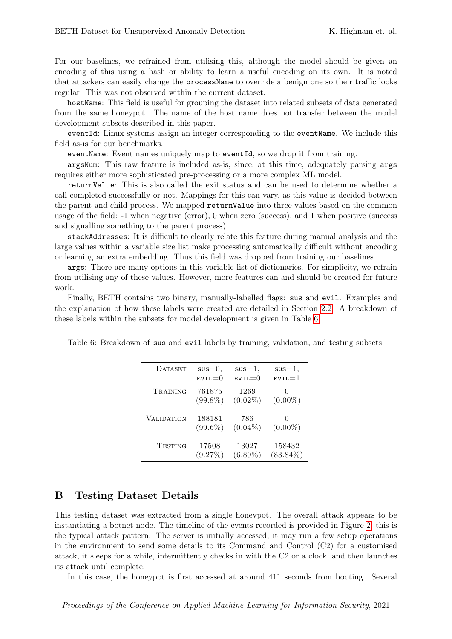For our baselines, we refrained from utilising this, although the model should be given an encoding of this using a hash or ability to learn a useful encoding on its own. It is noted that attackers can easily change the processName to override a benign one so their traffic looks regular. This was not observed within the current dataset.

hostName: This field is useful for grouping the dataset into related subsets of data generated from the same honeypot. The name of the host name does not transfer between the model development subsets described in this paper.

eventId: Linux systems assign an integer corresponding to the eventName. We include this field as-is for our benchmarks.

eventName: Event names uniquely map to eventId, so we drop it from training.

argsNum: This raw feature is included as-is, since, at this time, adequately parsing args requires either more sophisticated pre-processing or a more complex ML model.

returnValue: This is also called the exit status and can be used to determine whether a call completed successfully or not. Mappings for this can vary, as this value is decided between the parent and child process. We mapped returnValue into three values based on the common usage of the field: -1 when negative (error), 0 when zero (success), and 1 when positive (success and signalling something to the parent process).

stackAddresses: It is difficult to clearly relate this feature during manual analysis and the large values within a variable size list make processing automatically difficult without encoding or learning an extra embedding. Thus this field was dropped from training our baselines.

args: There are many options in this variable list of dictionaries. For simplicity, we refrain from utilising any of these values. However, more features can and should be created for future work.

Finally, BETH contains two binary, manually-labelled flags: sus and evil. Examples and the explanation of how these labels were created are detailed in Section [2.2.](#page-3-1) A breakdown of these labels within the subsets for model development is given in Table [6.](#page-10-1)

| <b>DATASET</b>    | $s$ us $=$ 0.        | $s$ us $=$ 1,        | $s$ us $=$ 1, |
|-------------------|----------------------|----------------------|---------------|
|                   | $EVIL = 0$           | $_{\texttt{evil}=0}$ | $EVIL = 1$    |
| TRAINING          | 761875<br>$(99.8\%)$ | 1269<br>$(0.02\%)$   | $(0.00\%)$    |
| <b>VALIDATION</b> | 188181<br>$(99.6\%)$ | 786<br>$(0.04\%)$    | $(0.00\%)$    |
| TESTING           | 17508                | 13027                | 158432        |
|                   | (9.27%)              | $(6.89\%)$           | $(83.84\%)$   |

<span id="page-10-1"></span>Table 6: Breakdown of sus and evil labels by training, validation, and testing subsets.

# <span id="page-10-0"></span>B Testing Dataset Details

This testing dataset was extracted from a single honeypot. The overall attack appears to be instantiating a botnet node. The timeline of the events recorded is provided in Figure [2;](#page-11-0) this is the typical attack pattern. The server is initially accessed, it may run a few setup operations in the environment to send some details to its Command and Control (C2) for a customised attack, it sleeps for a while, intermittently checks in with the C2 or a clock, and then launches its attack until complete.

In this case, the honeypot is first accessed at around 411 seconds from booting. Several